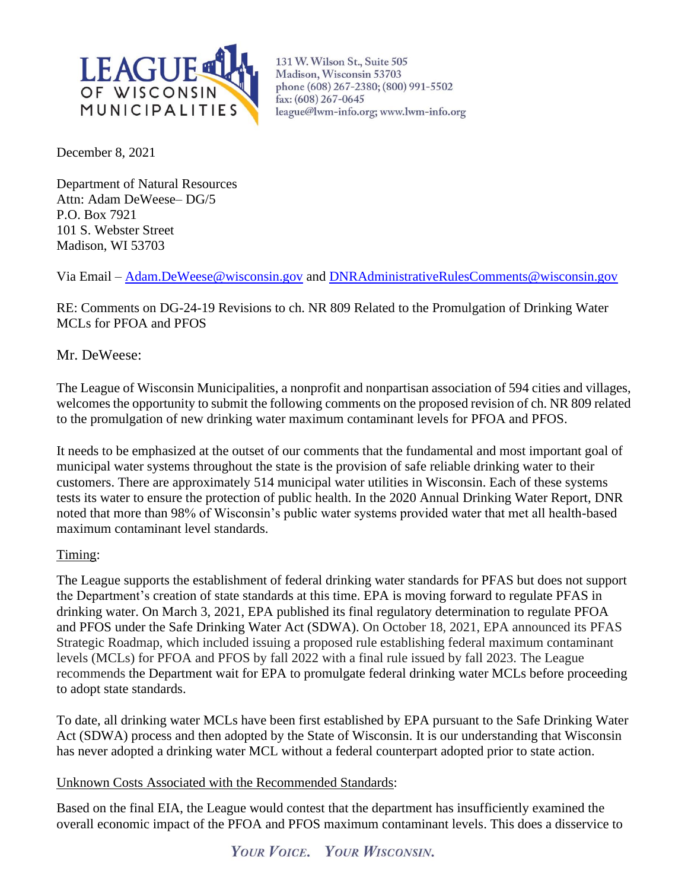

131 W. Wilson St., Suite 505 Madison, Wisconsin 53703 phone (608) 267-2380; (800) 991-5502 fax: (608) 267-0645 league@lwm-info.org; www.lwm-info.org

December 8, 2021

Department of Natural Resources Attn: Adam DeWeese– DG/5 P.O. Box 7921 101 S. Webster Street Madison, WI 53703

Via Email – [Adam.DeWeese@wisconsin.gov](mailto:Adam.DeWeese@wisconsin.gov) and [DNRAdministrativeRulesComments@wisconsin.gov](mailto:DNRAdministrativeRulesComments@wisconsin.gov)

RE: Comments on DG-24-19 Revisions to ch. NR 809 Related to the Promulgation of Drinking Water MCLs for PFOA and PFOS

Mr. DeWeese:

The League of Wisconsin Municipalities, a nonprofit and nonpartisan association of 594 cities and villages, welcomes the opportunity to submit the following comments on the proposed revision of ch. NR 809 related to the promulgation of new drinking water maximum contaminant levels for PFOA and PFOS.

It needs to be emphasized at the outset of our comments that the fundamental and most important goal of municipal water systems throughout the state is the provision of safe reliable drinking water to their customers. There are approximately 514 municipal water utilities in Wisconsin. Each of these systems tests its water to ensure the protection of public health. In the 2020 Annual Drinking Water Report, DNR noted that more than 98% of Wisconsin's public water systems provided water that met all health-based maximum contaminant level standards.

## Timing:

The League supports the establishment of federal drinking water standards for PFAS but does not support the Department's creation of state standards at this time. EPA is moving forward to regulate PFAS in drinking water. On March 3, 2021, EPA published its final regulatory determination to regulate PFOA and PFOS under the Safe Drinking Water Act (SDWA). On October 18, 2021, EPA announced its PFAS Strategic Roadmap, which included issuing a proposed rule establishing federal maximum contaminant levels (MCLs) for PFOA and PFOS by fall 2022 with a final rule issued by fall 2023. The League recommends the Department wait for EPA to promulgate federal drinking water MCLs before proceeding to adopt state standards.

To date, all drinking water MCLs have been first established by EPA pursuant to the Safe Drinking Water Act (SDWA) process and then adopted by the State of Wisconsin. It is our understanding that Wisconsin has never adopted a drinking water MCL without a federal counterpart adopted prior to state action.

Unknown Costs Associated with the Recommended Standards:

Based on the final EIA, the League would contest that the department has insufficiently examined the overall economic impact of the PFOA and PFOS maximum contaminant levels. This does a disservice to

YOUR VOICE. YOUR WISCONSIN.